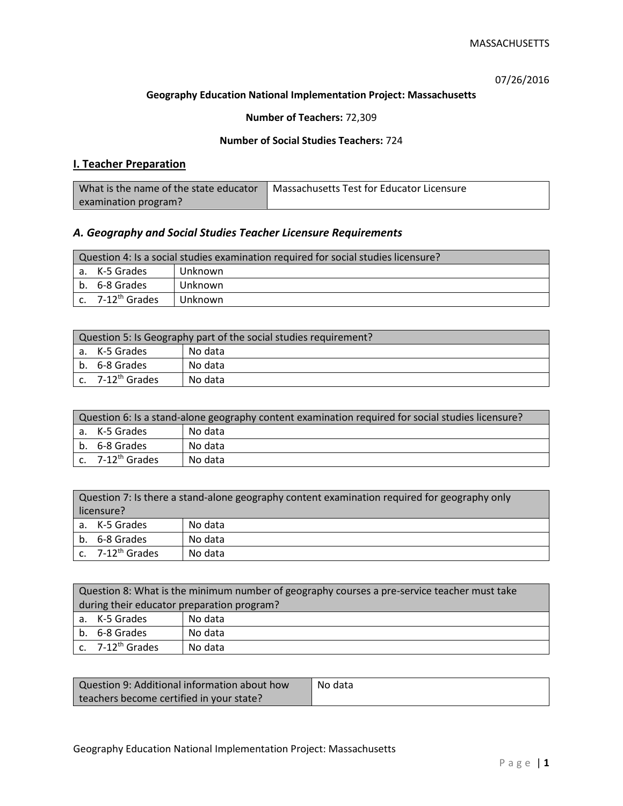07/26/2016

## **Geography Education National Implementation Project: Massachusetts**

## **Number of Teachers:** 72,309

### **Number of Social Studies Teachers:** 724

# **I. Teacher Preparation**

| What is the name of the state educator | Massachusetts Test for Educator Licensure |
|----------------------------------------|-------------------------------------------|
| examination program?                   |                                           |

## *A. Geography and Social Studies Teacher Licensure Requirements*

| Question 4: Is a social studies examination required for social studies licensure? |                              |         |
|------------------------------------------------------------------------------------|------------------------------|---------|
|                                                                                    | a. K-5 Grades                | Unknown |
|                                                                                    | b. 6-8 Grades                | Unknown |
|                                                                                    | c. 7-12 <sup>th</sup> Grades | Unknown |

| Question 5: Is Geography part of the social studies requirement? |                              |         |
|------------------------------------------------------------------|------------------------------|---------|
|                                                                  | l a. K-5 Grades              | No data |
|                                                                  | b. 6-8 Grades                | No data |
|                                                                  | c. 7-12 <sup>th</sup> Grades | No data |

| Question 6: Is a stand-alone geography content examination required for social studies licensure? |         |  |
|---------------------------------------------------------------------------------------------------|---------|--|
| a. K-5 Grades                                                                                     | No data |  |
| b. 6-8 Grades                                                                                     | No data |  |
| c. 7-12 <sup>th</sup> Grades                                                                      | No data |  |

| Question 7: Is there a stand-alone geography content examination required for geography only |                              |         |
|----------------------------------------------------------------------------------------------|------------------------------|---------|
| licensure?                                                                                   |                              |         |
|                                                                                              | a. K-5 Grades                | No data |
|                                                                                              | b. 6-8 Grades                | No data |
|                                                                                              | c. 7-12 <sup>th</sup> Grades | No data |

|                                            | Question 8: What is the minimum number of geography courses a pre-service teacher must take |         |  |
|--------------------------------------------|---------------------------------------------------------------------------------------------|---------|--|
| during their educator preparation program? |                                                                                             |         |  |
|                                            | a. K-5 Grades                                                                               | No data |  |
|                                            | b. 6-8 Grades                                                                               | No data |  |
|                                            | c. $7-12^{th}$ Grades                                                                       | No data |  |

| Question 9: Additional information about how | No data |
|----------------------------------------------|---------|
| teachers become certified in your state?     |         |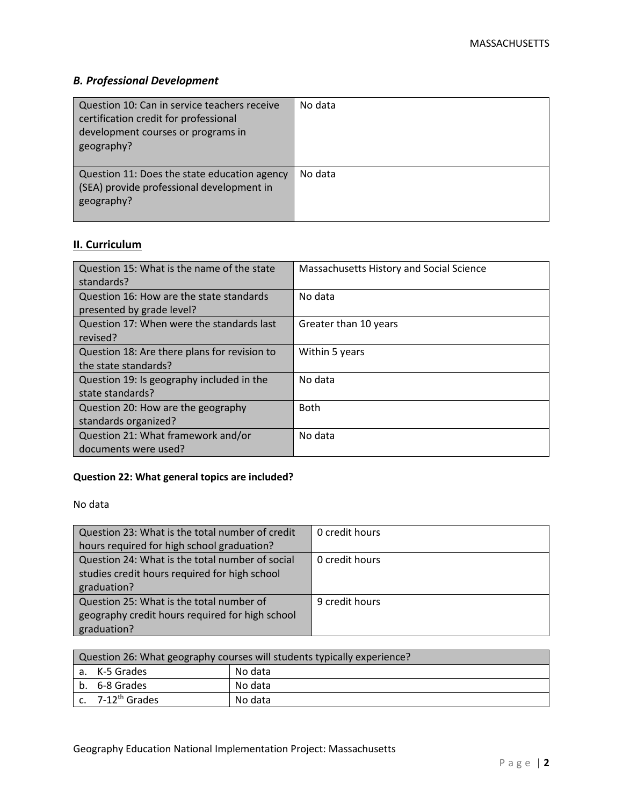# *B. Professional Development*

| Question 10: Can in service teachers receive<br>certification credit for professional<br>development courses or programs in<br>geography? | No data |
|-------------------------------------------------------------------------------------------------------------------------------------------|---------|
| Question 11: Does the state education agency<br>(SEA) provide professional development in<br>geography?                                   | No data |

# **II. Curriculum**

| Question 15: What is the name of the state<br>standards?              | Massachusetts History and Social Science |
|-----------------------------------------------------------------------|------------------------------------------|
| Question 16: How are the state standards<br>presented by grade level? | No data                                  |
| Question 17: When were the standards last<br>revised?                 | Greater than 10 years                    |
| Question 18: Are there plans for revision to<br>the state standards?  | Within 5 years                           |
| Question 19: Is geography included in the<br>state standards?         | No data                                  |
| Question 20: How are the geography<br>standards organized?            | <b>Both</b>                              |
| Question 21: What framework and/or<br>documents were used?            | No data                                  |

# **Question 22: What general topics are included?**

No data

| Question 23: What is the total number of credit | 0 credit hours |
|-------------------------------------------------|----------------|
| hours required for high school graduation?      |                |
| Question 24: What is the total number of social | 0 credit hours |
| studies credit hours required for high school   |                |
| graduation?                                     |                |
| Question 25: What is the total number of        | 9 credit hours |
| geography credit hours required for high school |                |
| graduation?                                     |                |

| Question 26: What geography courses will students typically experience? |                              |         |
|-------------------------------------------------------------------------|------------------------------|---------|
|                                                                         | l a. K-5 Grades              | No data |
|                                                                         | b. 6-8 Grades                | No data |
|                                                                         | c. 7-12 <sup>th</sup> Grades | No data |